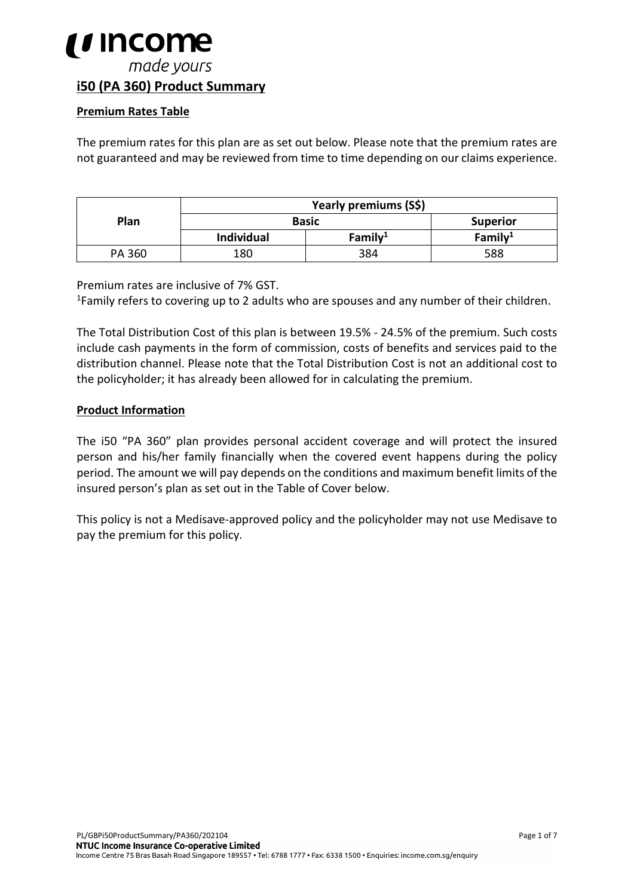### *i* income made yours **i50 (PA 360) Product Summary**

#### **Premium Rates Table**

The premium rates for this plan are as set out below. Please note that the premium rates are not guaranteed and may be reviewed from time to time depending on our claims experience.

|        | Yearly premiums (S\$) |            |                 |  |
|--------|-----------------------|------------|-----------------|--|
| Plan   | <b>Basic</b>          |            | <b>Superior</b> |  |
|        | <b>Individual</b>     | Family $1$ | Family $1$      |  |
| PA 360 | 180                   | 384        | 588             |  |

Premium rates are inclusive of 7% GST.<br><sup>1</sup>Family refers to covering up to 2 adults who are spouses and any number of their children.

The Total Distribution Cost of this plan is between 19.5% - 24.5% of the premium. Such costs include cash payments in the form of commission, costs of benefits and services paid to the distribution channel. Please note that the Total Distribution Cost is not an additional cost to the policyholder; it has already been allowed for in calculating the premium.

#### **Product Information**

The i50 "PA 360" plan provides personal accident coverage and will protect the insured person and his/her family financially when the covered event happens during the policy period. The amount we will pay depends on the conditions and maximum benefit limits of the insured person's plan as set out in the Table of Cover below.

This policy is not a Medisave-approved policy and the policyholder may not use Medisave to pay the premium for this policy.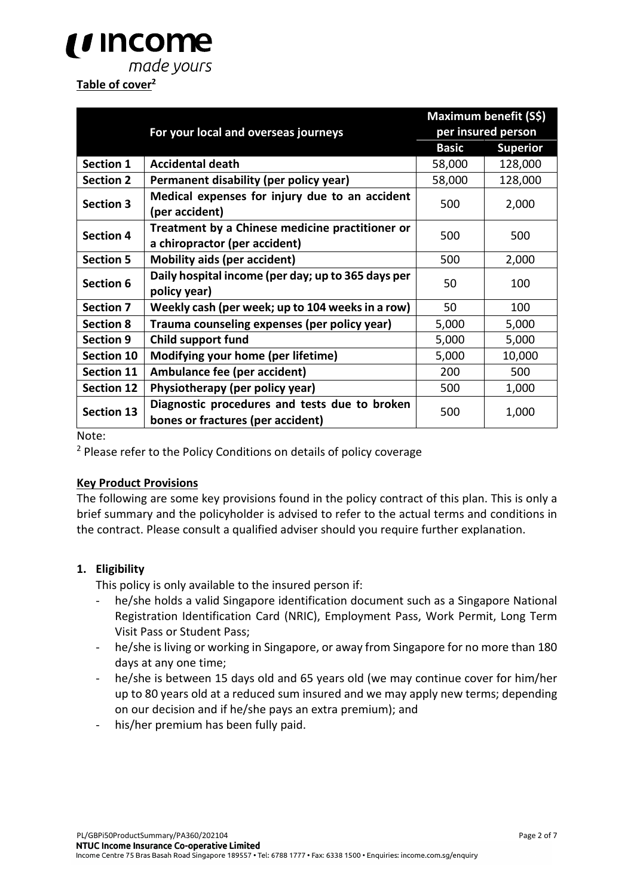## *i i* Income made yours

#### **Table of cover2**

|                   |                                                                                    | Maximum benefit (S\$) |                    |  |
|-------------------|------------------------------------------------------------------------------------|-----------------------|--------------------|--|
|                   | For your local and overseas journeys                                               |                       | per insured person |  |
|                   |                                                                                    | <b>Basic</b>          | <b>Superior</b>    |  |
| <b>Section 1</b>  | <b>Accidental death</b>                                                            | 58,000                | 128,000            |  |
| <b>Section 2</b>  | Permanent disability (per policy year)                                             | 58,000                | 128,000            |  |
| <b>Section 3</b>  | Medical expenses for injury due to an accident<br>(per accident)                   | 500                   | 2,000              |  |
| <b>Section 4</b>  | Treatment by a Chinese medicine practitioner or<br>a chiropractor (per accident)   | 500                   | 500                |  |
| <b>Section 5</b>  | <b>Mobility aids (per accident)</b>                                                | 500                   | 2,000              |  |
| Section 6         | Daily hospital income (per day; up to 365 days per                                 | 50                    | 100                |  |
|                   | policy year)                                                                       |                       |                    |  |
| <b>Section 7</b>  | Weekly cash (per week; up to 104 weeks in a row)                                   | 50                    | 100                |  |
| <b>Section 8</b>  | Trauma counseling expenses (per policy year)                                       | 5,000                 | 5,000              |  |
| <b>Section 9</b>  | Child support fund                                                                 | 5,000                 | 5,000              |  |
| <b>Section 10</b> | Modifying your home (per lifetime)                                                 | 5,000                 | 10,000             |  |
| <b>Section 11</b> | Ambulance fee (per accident)                                                       | 200                   | 500                |  |
| <b>Section 12</b> | Physiotherapy (per policy year)                                                    | 500                   | 1,000              |  |
| <b>Section 13</b> | Diagnostic procedures and tests due to broken<br>bones or fractures (per accident) | 500                   | 1,000              |  |

Note:

<sup>2</sup> Please refer to the Policy Conditions on details of policy coverage

#### **Key Product Provisions**

The following are some key provisions found in the policy contract of this plan. This is only a brief summary and the policyholder is advised to refer to the actual terms and conditions in the contract. Please consult a qualified adviser should you require further explanation.

#### **1. Eligibility**

This policy is only available to the insured person if:

- he/she holds a valid Singapore identification document such as a Singapore National Registration Identification Card (NRIC), Employment Pass, Work Permit, Long Term Visit Pass or Student Pass;
- he/she is living or working in Singapore, or away from Singapore for no more than 180 days at any one time;
- he/she is between 15 days old and 65 years old (we may continue cover for him/her up to 80 years old at a reduced sum insured and we may apply new terms; depending on our decision and if he/she pays an extra premium); and
- his/her premium has been fully paid.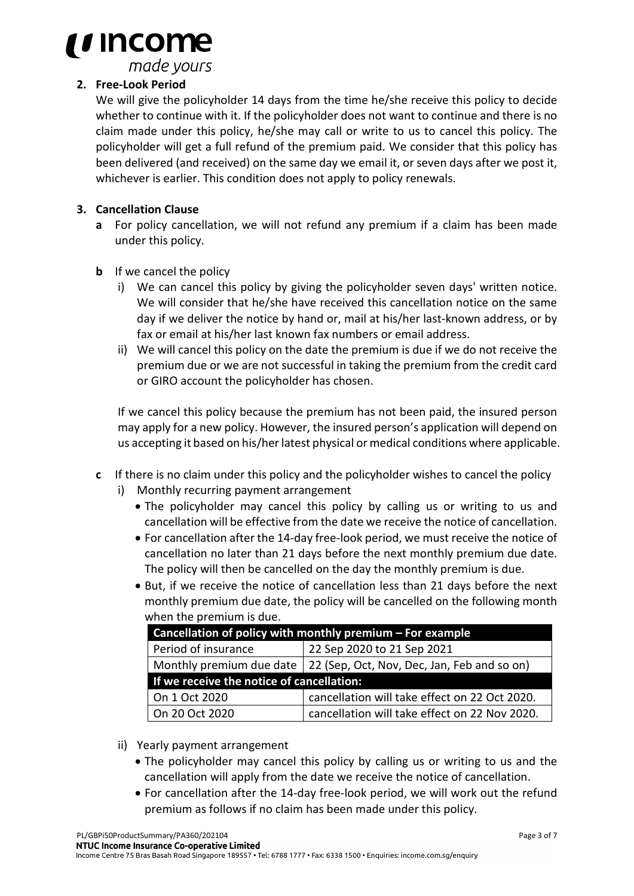

made yours

#### **2. Free-Look Period**

We will give the policyholder 14 days from the time he/she receive this policy to decide whether to continue with it. If the policyholder does not want to continue and there is no claim made under this policy, he/she may call or write to us to cancel this policy. The policyholder will get a full refund of the premium paid. We consider that this policy has been delivered (and received) on the same day we email it, or seven days after we post it, whichever is earlier. This condition does not apply to policy renewals.

#### **3. Cancellation Clause**

- **a** For policy cancellation, we will not refund any premium if a claim has been made under this policy.
- **b** If we cancel the policy
	- i) We can cancel this policy by giving the policyholder seven days' written notice. We will consider that he/she have received this cancellation notice on the same day if we deliver the notice by hand or, mail at his/her last-known address, or by fax or email at his/her last known fax numbers or email address.
	- ii) We will cancel this policy on the date the premium is due if we do not receive the premium due or we are not successful in taking the premium from the credit card or GIRO account the policyholder has chosen.

If we cancel this policy because the premium has not been paid, the insured person may apply for a new policy. However, the insured person's application will depend on us accepting it based on his/her latest physical or medical conditions where applicable.

- **c** If there is no claim under this policy and the policyholder wishes to cancel the policy
	- i) Monthly recurring payment arrangement
		- The policyholder may cancel this policy by calling us or writing to us and cancellation will be effective from the date we receive the notice of cancellation.
		- For cancellation after the 14-day free-look period, we must receive the notice of cancellation no later than 21 days before the next monthly premium due date. The policy will then be cancelled on the day the monthly premium is due.
		- But, if we receive the notice of cancellation less than 21 days before the next monthly premium due date, the policy will be cancelled on the following month when the premium is due.

| Cancellation of policy with monthly premium – For example |                                                                        |  |  |  |
|-----------------------------------------------------------|------------------------------------------------------------------------|--|--|--|
| Period of insurance                                       | 22 Sep 2020 to 21 Sep 2021                                             |  |  |  |
|                                                           | Monthly premium due date   22 (Sep, Oct, Nov, Dec, Jan, Feb and so on) |  |  |  |
| If we receive the notice of cancellation:                 |                                                                        |  |  |  |
| On 1 Oct 2020                                             | cancellation will take effect on 22 Oct 2020.                          |  |  |  |
| On 20 Oct 2020                                            | cancellation will take effect on 22 Nov 2020.                          |  |  |  |

- ii) Yearly payment arrangement
	- The policyholder may cancel this policy by calling us or writing to us and the cancellation will apply from the date we receive the notice of cancellation.
	- For cancellation after the 14-day free-look period, we will work out the refund premium as follows if no claim has been made under this policy.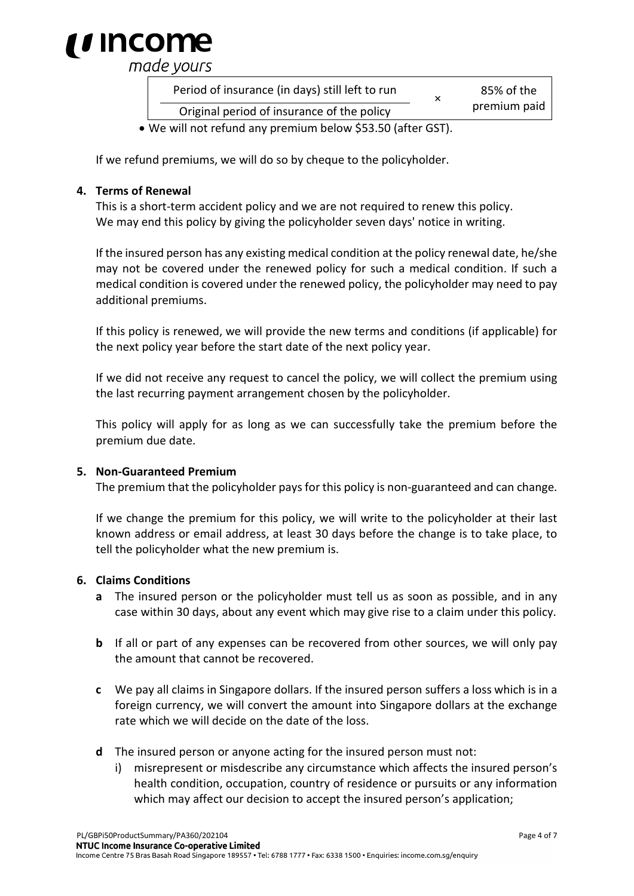

made yours

| Period of insurance (in days) still left to run<br>×                  | 85% of the<br>premium paid |
|-----------------------------------------------------------------------|----------------------------|
| Original period of insurance of the policy                            |                            |
| $M_{2}$ will not referred only proposition lealent CFO FO (efter CCT) |                            |

• We will not refund any premium below \$53.50 (after GST).

If we refund premiums, we will do so by cheque to the policyholder.

#### **4. Terms of Renewal**

This is a short-term accident policy and we are not required to renew this policy. We may end this policy by giving the policyholder seven days' notice in writing.

If the insured person has any existing medical condition at the policy renewal date, he/she may not be covered under the renewed policy for such a medical condition. If such a medical condition is covered under the renewed policy, the policyholder may need to pay additional premiums.

If this policy is renewed, we will provide the new terms and conditions (if applicable) for the next policy year before the start date of the next policy year.

If we did not receive any request to cancel the policy, we will collect the premium using the last recurring payment arrangement chosen by the policyholder.

This policy will apply for as long as we can successfully take the premium before the premium due date.

#### **5. Non-Guaranteed Premium**

The premium that the policyholder pays for this policy is non-guaranteed and can change.

If we change the premium for this policy, we will write to the policyholder at their last known address or email address, at least 30 days before the change is to take place, to tell the policyholder what the new premium is.

#### **6. Claims Conditions**

- **a** The insured person or the policyholder must tell us as soon as possible, and in any case within 30 days, about any event which may give rise to a claim under this policy.
- **b** If all or part of any expenses can be recovered from other sources, we will only pay the amount that cannot be recovered.
- **c** We pay all claims in Singapore dollars. If the insured person suffers a loss which is in a foreign currency, we will convert the amount into Singapore dollars at the exchange rate which we will decide on the date of the loss.
- **d** The insured person or anyone acting for the insured person must not:
	- i) misrepresent or misdescribe any circumstance which affects the insured person's health condition, occupation, country of residence or pursuits or any information which may affect our decision to accept the insured person's application;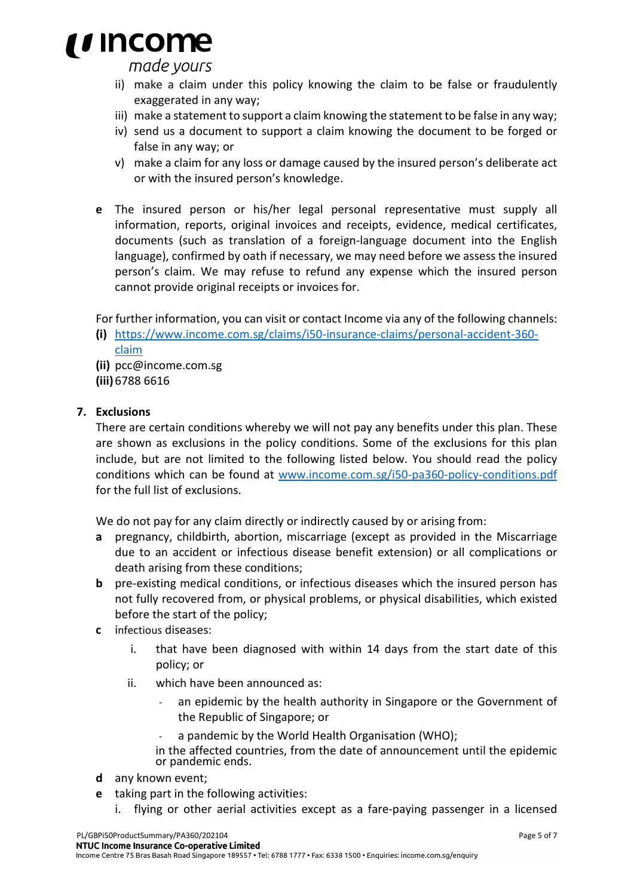

made yours

- ii) make a claim under this policy knowing the claim to be false or fraudulently exaggerated in any way;
- iii) make a statement to support a claim knowing the statement to be false in any way;
- iv) send us a document to support a claim knowing the document to be forged or false in any way; or
- v) make a claim for any loss or damage caused by the insured person's deliberate act or with the insured person's knowledge.
- **e** The insured person or his/her legal personal representative must supply all information, reports, original invoices and receipts, evidence, medical certificates, documents (such as translation of a foreign-language document into the English language), confirmed by oath if necessary, we may need before we assess the insured person's claim. We may refuse to refund any expense which the insured person cannot provide original receipts or invoices for.
- For further information, you can visit or contact Income via any of the following channels:
- **(i)** https://www.income.com.sg/claims/i50-insurance-claims/personal-accident-360 claim
- **(ii)** [pcc@income.com.sg](mailto:pcc@income.com.sg)
- **(iii)** 6788 6616

#### **7. Exclusions**

There are certain conditions whereby we will not pay any benefits under this plan. These are shown as exclusions in the policy conditions. Some of the exclusions for this plan include, but are not limited to the following listed below. You should read the policy conditions which can be found at [www.income.com.sg/i50-pa360-policy-conditions.pdf](http://www.income.com.sg/i50-pa360-policy-conditions.pdf) for the full list of exclusions.

We do not pay for any claim directly or indirectly caused by or arising from:

- **a** pregnancy, childbirth, abortion, miscarriage (except as provided in the Miscarriage due to an accident or infectious disease benefit extension) or all complications or death arising from these conditions;
- **b** pre-existing medical conditions, or infectious diseases which the insured person has not fully recovered from, or physical problems, or physical disabilities, which existed before the start of the policy;
- **c** infectious diseases:
	- i. that have been diagnosed with within 14 days from the start date of this policy; or
	- ii. which have been announced as:
		- an epidemic by the health authority in Singapore or the Government of the Republic of Singapore; or
		- a pandemic by the World Health Organisation (WHO);

in the affected countries, from the date of announcement until the epidemic or pandemic ends.

- **d** any known event;
- **e** taking part in the following activities:
	- i. flying or other aerial activities except as a fare-paying passenger in a licensed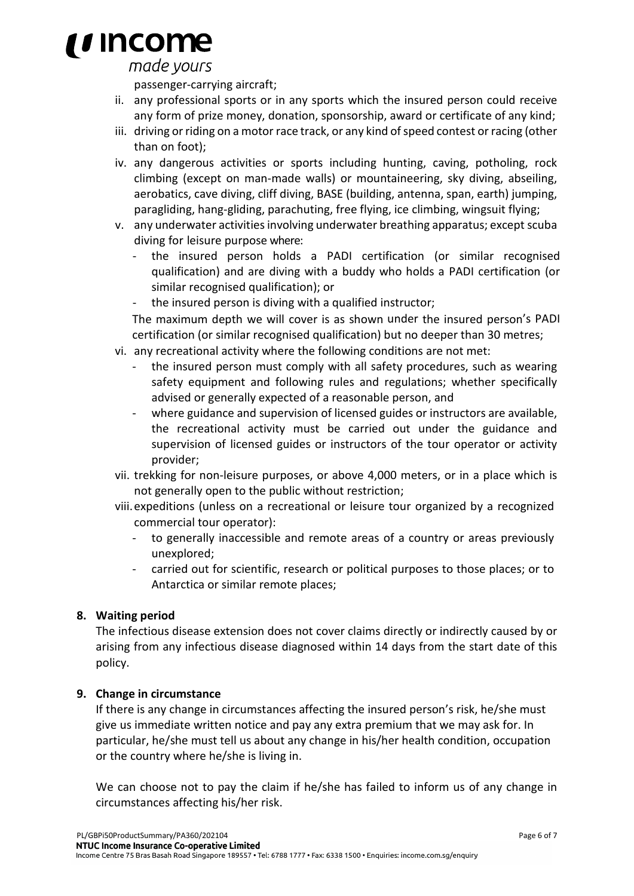# *i* income

#### made yours

passenger-carrying aircraft;

- ii. any professional sports or in any sports which the insured person could receive any form of prize money, donation, sponsorship, award or certificate of any kind;
- iii. driving or riding on a motor race track, or any kind of speed contest or racing (other than on foot);
- iv. any dangerous activities or sports including hunting, caving, potholing, rock climbing (except on man-made walls) or mountaineering, sky diving, abseiling, aerobatics, cave diving, cliff diving, BASE (building, antenna, span, earth) jumping, paragliding, hang-gliding, parachuting, free flying, ice climbing, wingsuit flying;
- v. any underwater activities involving underwater breathing apparatus; except scuba diving for leisure purpose where:
	- the insured person holds a PADI certification (or similar recognised qualification) and are diving with a buddy who holds a PADI certification (or similar recognised qualification); or
	- the insured person is diving with a qualified instructor;

The maximum depth we will cover is as shown under the insured person's PADI certification (or similar recognised qualification) but no deeper than 30 metres;

- vi. any recreational activity where the following conditions are not met:
	- the insured person must comply with all safety procedures, such as wearing safety equipment and following rules and regulations; whether specifically advised or generally expected of a reasonable person, and
	- where guidance and supervision of licensed guides or instructors are available, the recreational activity must be carried out under the guidance and supervision of licensed guides or instructors of the tour operator or activity provider;
- vii. trekking for non-leisure purposes, or above 4,000 meters, or in a place which is not generally open to the public without restriction;
- viii.expeditions (unless on a recreational or leisure tour organized by a recognized commercial tour operator):
	- to generally inaccessible and remote areas of a country or areas previously unexplored;
	- carried out for scientific, research or political purposes to those places; or to Antarctica or similar remote places;

#### **8. Waiting period**

The infectious disease extension does not cover claims directly or indirectly caused by or arising from any infectious disease diagnosed within 14 days from the start date of this policy.

#### **9. Change in circumstance**

If there is any change in circumstances affecting the insured person's risk, he/she must give us immediate written notice and pay any extra premium that we may ask for. In particular, he/she must tell us about any change in his/her health condition, occupation or the country where he/she is living in.

We can choose not to pay the claim if he/she has failed to inform us of any change in circumstances affecting his/her risk.